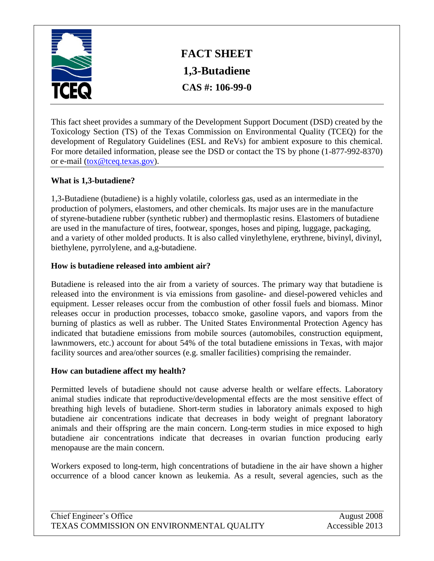

# **FACT SHEET 1,3-Butadiene CAS #: 106-99-0**

This fact sheet provides a summary of the Development Support Document (DSD) created by the Toxicology Section (TS) of the Texas Commission on Environmental Quality (TCEQ) for the development of Regulatory Guidelines (ESL and ReVs) for ambient exposure to this chemical. For more detailed information, please see the DSD or contact the TS by phone (1-877-992-8370) or e-mail [\(tox@tceq.texas.gov\)](mailto:tox@tceq.texas.gov).

# **What is 1,3-butadiene?**

1,3-Butadiene (butadiene) is a highly volatile, colorless gas, used as an intermediate in the production of polymers, elastomers, and other chemicals. Its major uses are in the manufacture of styrene-butadiene rubber (synthetic rubber) and thermoplastic resins. Elastomers of butadiene are used in the manufacture of tires, footwear, sponges, hoses and piping, luggage, packaging, and a variety of other molded products. It is also called vinylethylene, erythrene, bivinyl, divinyl, biethylene, pyrrolylene, and a,g-butadiene.

#### **How is butadiene released into ambient air?**

Butadiene is released into the air from a variety of sources. The primary way that butadiene is released into the environment is via emissions from gasoline- and diesel-powered vehicles and equipment. Lesser releases occur from the combustion of other fossil fuels and biomass. Minor releases occur in production processes, tobacco smoke, gasoline vapors, and vapors from the burning of plastics as well as rubber. The United States Environmental Protection Agency has indicated that butadiene emissions from mobile sources (automobiles, construction equipment, lawnmowers, etc.) account for about 54% of the total butadiene emissions in Texas, with major facility sources and area/other sources (e.g. smaller facilities) comprising the remainder.

## **How can butadiene affect my health?**

Permitted levels of butadiene should not cause adverse health or welfare effects. Laboratory animal studies indicate that reproductive/developmental effects are the most sensitive effect of breathing high levels of butadiene. Short-term studies in laboratory animals exposed to high butadiene air concentrations indicate that decreases in body weight of pregnant laboratory animals and their offspring are the main concern. Long-term studies in mice exposed to high butadiene air concentrations indicate that decreases in ovarian function producing early menopause are the main concern.

Workers exposed to long-term, high concentrations of butadiene in the air have shown a higher occurrence of a blood cancer known as leukemia. As a result, several agencies, such as the

| Chief Engineer's Office                   |  |
|-------------------------------------------|--|
| TEXAS COMMISSION ON ENVIRONMENTAL QUALITY |  |